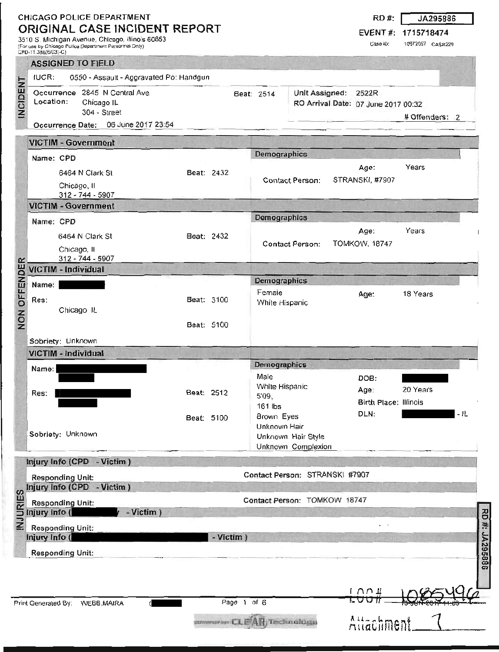## **CHICAGO POLICE DEPARTMENT ORIGINAL CASE INCIDENT REPORT**

3510 S. Michigan Avenue, Chicago, Illinois 60653 (For use by Chicago Police Department Personnel Only) CPD-11 308(5/03)-C)

**RD #: JA295886** 

**EVENT #: 1715718474** 

Case ID: 10972057 CASR229

|                     | <b>ASSIGNED TO FIELD</b>                                     |                            |                            |                                                                      |                 |                              |                     |                      |                                     |                |                |
|---------------------|--------------------------------------------------------------|----------------------------|----------------------------|----------------------------------------------------------------------|-----------------|------------------------------|---------------------|----------------------|-------------------------------------|----------------|----------------|
|                     | <b>IUCR:</b>                                                 |                            |                            | 0550 - Assault - Aggravated Po: Handgun                              |                 |                              |                     |                      |                                     |                |                |
| <b>INCIDENT</b>     | Location:                                                    |                            | Chicago IL<br>304 - Street | Occurrence 2845 N Central Ave<br>Occurrence Date: 06 June 2017 23:54 |                 |                              | Beat: 2514          | Unit Assigned: 2522R | RO Arrival Date: 07 June 2017 00:32 | # Offenders: 2 |                |
|                     |                                                              |                            |                            |                                                                      |                 |                              |                     |                      |                                     |                |                |
|                     | <b>VICTIM - Government</b>                                   |                            |                            |                                                                      |                 |                              | Demographics        |                      |                                     |                |                |
|                     | Name: CPD                                                    |                            |                            |                                                                      |                 |                              |                     |                      | Age:                                | Years          |                |
|                     | 6464 N Clark St                                              |                            | Beat: 2432                 |                                                                      | Contact Person: |                              | STRANSKI, #7907     |                      |                                     |                |                |
|                     |                                                              | Chicago, II                | 312 - 744 - 5907           |                                                                      |                 |                              |                     |                      |                                     |                |                |
|                     | <b>VICTIM - Government</b>                                   |                            |                            |                                                                      |                 |                              |                     |                      |                                     |                |                |
|                     | Name: CPD                                                    |                            |                            |                                                                      |                 |                              | Demographics        |                      |                                     |                |                |
|                     |                                                              |                            | 6464 N Clark St            |                                                                      |                 | Beat: 2432                   |                     |                      | Age:                                | Years          |                |
|                     |                                                              | Chicago, II                |                            |                                                                      |                 |                              | Contact Person:     |                      | <b>TOMKOW, 18747</b>                |                |                |
|                     |                                                              |                            | 312 - 744 - 5907           |                                                                      |                 |                              |                     |                      |                                     |                |                |
| <b>NON OFFENDER</b> | <b>VICTIM - Individual</b>                                   |                            |                            |                                                                      |                 |                              | Demographics        |                      |                                     |                |                |
|                     | Name:                                                        |                            |                            |                                                                      |                 |                              | Female              |                      | Age:                                | 18 Years       |                |
|                     | Res:                                                         |                            |                            |                                                                      | Beat: 3100      |                              | White Hispanic      |                      |                                     |                |                |
|                     |                                                              | Chicago <sub>IL</sub>      |                            |                                                                      |                 |                              |                     |                      |                                     |                |                |
|                     |                                                              |                            |                            |                                                                      | Beat: 5100      |                              |                     |                      |                                     |                |                |
|                     | Sobriety: Unknown                                            |                            |                            |                                                                      |                 |                              |                     |                      |                                     |                |                |
|                     | <b>VICTIM - Individual</b>                                   |                            |                            |                                                                      |                 |                              | <b>Demographics</b> |                      |                                     |                |                |
|                     | Name:                                                        |                            |                            |                                                                      |                 |                              | Male                |                      | DOB:                                |                |                |
|                     | Res:                                                         |                            |                            |                                                                      | Beat: 2512      |                              | White Hispanic      |                      | Age:                                | 20 Years       |                |
|                     |                                                              |                            |                            |                                                                      |                 |                              | 5'09,<br>161 lbs    |                      | Birth Place: Illinois               |                |                |
|                     |                                                              |                            |                            |                                                                      | Beat: 5100      |                              | Brown Eyes          |                      | DLN:                                |                | - 1L           |
|                     | Sobriety: Unknown                                            |                            |                            |                                                                      |                 | Unknown Hair                 |                     |                      |                                     |                |                |
|                     |                                                              |                            |                            | Unknown Hair Style<br>Unknown Complexion                             |                 |                              |                     |                      |                                     |                |                |
|                     |                                                              |                            |                            |                                                                      |                 |                              |                     |                      |                                     |                |                |
|                     | Injury Info (CPD - Victim)<br>Contact Person: STRANSKI #7907 |                            |                            |                                                                      |                 |                              |                     |                      |                                     |                |                |
|                     | <b>Responding Unit:</b><br>Injury Info (CPD - Victim)        |                            |                            |                                                                      |                 |                              |                     |                      |                                     |                |                |
| <b>INJURIES</b>     | Contact Person: TOMKOW 18747<br><b>Responding Unit:</b>      |                            |                            |                                                                      |                 |                              |                     |                      |                                     |                |                |
|                     | - Victim)<br>Injury Info (                                   |                            |                            |                                                                      |                 |                              |                     |                      |                                     |                |                |
|                     |                                                              | <b>Responding Unit:</b>    |                            |                                                                      |                 |                              |                     |                      |                                     |                |                |
|                     |                                                              | - Victim)<br>Injury Info ( |                            |                                                                      |                 |                              |                     |                      |                                     |                |                |
|                     | Responding Unit:                                             |                            |                            |                                                                      |                 |                              |                     |                      |                                     |                | RD #: JA295886 |
|                     |                                                              |                            |                            |                                                                      |                 |                              |                     |                      |                                     |                |                |
|                     |                                                              |                            |                            |                                                                      |                 |                              |                     |                      |                                     |                |                |
|                     | Print Generated By: WEBB, MAIRA                              |                            |                            |                                                                      |                 | Page 1 of 6                  |                     |                      | 1.094<br>LVV                        |                |                |
|                     |                                                              |                            |                            |                                                                      |                 |                              |                     |                      |                                     |                |                |
|                     |                                                              |                            |                            |                                                                      |                 | powerearspy CLEAR Technology |                     |                      | Attachment                          |                |                |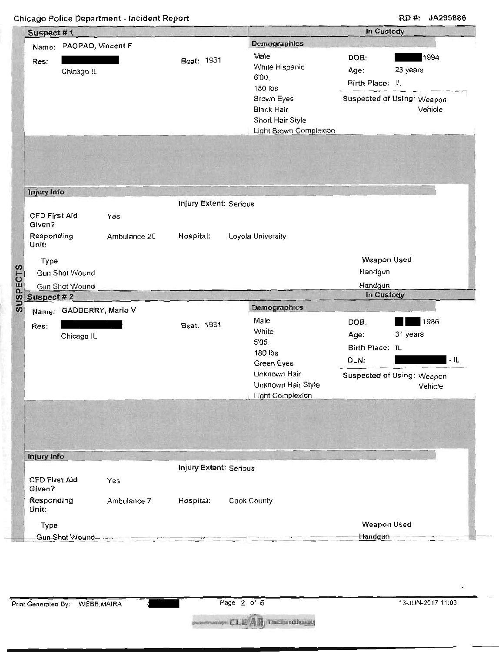**Chicago Police Department - Incident Report RD #: JA295886** 

|                                | Suspect #1              |              |                               |                                                                               | In Custody                      |                                       |
|--------------------------------|-------------------------|--------------|-------------------------------|-------------------------------------------------------------------------------|---------------------------------|---------------------------------------|
|                                | Name: PAOPAO, Vincent F |              |                               | Demographics                                                                  |                                 |                                       |
| Res:                           | Chicago IL              |              | Beat: 1931                    | Male<br>White Hispanic<br>6'00,<br>180 lbs                                    | DOB:<br>Age:<br>Birth Place: IL | 1994<br>23 years                      |
|                                |                         |              |                               | Brown Eyes<br><b>Black Hair</b><br>Short Hair Style<br>Light Brown Complexion |                                 | Suspected of Using: Weapon<br>Vehicle |
| Injury Info                    |                         |              |                               |                                                                               |                                 |                                       |
| <b>CFD First Aid</b><br>Given? |                         | Yes          | <b>Injury Extent: Serious</b> |                                                                               |                                 |                                       |
| Responding<br>Unit:            |                         | Ambulance 20 | Hospital:                     | Loyola University                                                             |                                 |                                       |
| Type                           | Gun Shot Wound          |              |                               |                                                                               | Weapon Used<br>Handgun          |                                       |
|                                | Gun Shot Wound          |              |                               |                                                                               | Handgun                         |                                       |
| Suspect #2                     |                         |              |                               |                                                                               | In Custody                      |                                       |
|                                | Name: GADBERRY, Mario V |              |                               | Demographics                                                                  |                                 |                                       |
| Res:                           | Chicago IL              |              | Beat: 1931                    | Male<br>White<br>5'05,                                                        | DOB:<br>Age:                    | 1986<br>31 years                      |
|                                |                         |              |                               | 180 lbs<br>Green Eyes                                                         | Birth Place: IL<br>DLN:         | $-1L$                                 |
|                                |                         |              |                               | Unknown Hair<br>Unknown Hair Style<br><b>Light Complexion</b>                 |                                 | Suspected of Using: Weapon<br>Vehicle |
|                                |                         |              |                               |                                                                               |                                 |                                       |
|                                |                         |              |                               |                                                                               |                                 |                                       |
| Injury Info                    |                         |              |                               |                                                                               |                                 |                                       |
| <b>CFD First Aid</b><br>Given? |                         | Yes          | Injury Extent: Serious        |                                                                               |                                 |                                       |
| Responding<br>Unit:            |                         | Ambulance 7  | Hospital:                     | Cook County                                                                   |                                 |                                       |
| Type                           |                         |              |                               |                                                                               | Weapon Used                     |                                       |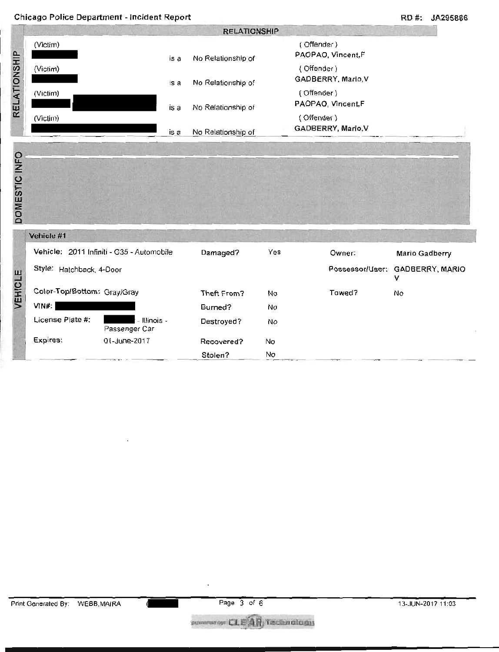|                                              |                                           |                                                                                                                 |     |                                  | RD #:<br>JA295886    |  |  |  |  |
|----------------------------------------------|-------------------------------------------|-----------------------------------------------------------------------------------------------------------------|-----|----------------------------------|----------------------|--|--|--|--|
|                                              | <b>RELATIONSHIP</b>                       |                                                                                                                 |     |                                  |                      |  |  |  |  |
| (Victim)<br>is a<br>(Victim)<br>is a         |                                           | (Offender)<br>PAOPAO, Vincent,F<br>No Relationship of<br>(Offender)<br>GADBERRY, Mario, V<br>No Relationship of |     |                                  |                      |  |  |  |  |
|                                              |                                           |                                                                                                                 |     |                                  |                      |  |  |  |  |
| (Victim)<br>is a                             |                                           | No Relationship of                                                                                              |     | (Offender)<br>PAOPAO, Vincent,F  |                      |  |  |  |  |
| (Victim)<br>is a                             |                                           | No Relationship of                                                                                              |     | (Offender)<br>GADBERRY, Mario, V |                      |  |  |  |  |
|                                              |                                           |                                                                                                                 |     |                                  |                      |  |  |  |  |
|                                              |                                           |                                                                                                                 |     |                                  |                      |  |  |  |  |
|                                              |                                           |                                                                                                                 |     |                                  |                      |  |  |  |  |
| Vehicle #1                                   |                                           |                                                                                                                 |     |                                  |                      |  |  |  |  |
|                                              | Vehicle: 2011 Infiniti - G35 - Automobile | Damaged?                                                                                                        | Yes | Owner:                           | Mario Gadberry       |  |  |  |  |
| Style: Hatchback, 4-Door                     |                                           |                                                                                                                 |     | Possessor/User:                  | GADBERRY, MARIO<br>v |  |  |  |  |
| Color-Top/Bottom: Gray/Gray                  |                                           | Theft From?                                                                                                     | No  | Towed?                           | No                   |  |  |  |  |
| VIN#:                                        |                                           | Burned?                                                                                                         | No  |                                  |                      |  |  |  |  |
| DOMESTIC INFO<br>VEHICLE<br>License Plate #: | - Illinois -<br>Passenger Car             | Destroyed?                                                                                                      | No  |                                  |                      |  |  |  |  |

Stolen? No

covered CLE AR recondidati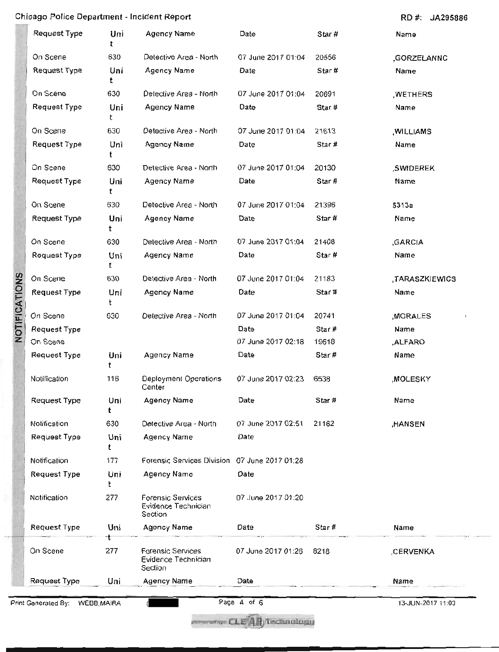## **Chicago Police Department - Incident Report RD #: JA295886**

|               | <b>Request Type</b> | Uni<br>t | Agency Name                                         | Date               | Star# | Name           |
|---------------|---------------------|----------|-----------------------------------------------------|--------------------|-------|----------------|
|               | On Scene            | 630      | Detective Area - North                              | 07 June 2017 01:04 | 20556 | ,GORZELANNC    |
|               | Request Type        | Uni<br>t | Agency Name                                         | Date               | Star# | Name           |
|               | On Scene            | 630      | Detective Area - North                              | 07 June 2017 01:04 | 20691 | ,WETHERS       |
|               | <b>Request Type</b> | Uni<br>t | <b>Agency Name</b>                                  | Date               | Star# | Name           |
|               | On Scene            | 630      | Detective Area - North                              | 07 June 2017 01:04 | 21613 | , WILLIAMS     |
|               | <b>Request Type</b> | Uni      | <b>Agency Name</b>                                  | Date               | Star# | Name           |
|               | On Scene            | 630      | Detective Area - North                              | 07 June 2017 01:04 | 20130 | ,SWIDEREK      |
|               | Request Type        | Uni<br>t | Agency Name                                         | Date               | Star# | Name           |
|               | On Scene            | 630      | Detective Area - North                              | 07 June 2017 01:04 | 21396 | 5313a          |
|               | Request Type        | Uni<br>t | Agency Name                                         | Date               | Star# | Name           |
|               | On Scene            | 630      | Detective Area - North                              | 07 June 2017 01:04 | 21408 | ,GARCIA        |
|               | <b>Request Type</b> | Uni<br>t | Agency Name                                         | Date               | Star# | Name           |
| NOTIFICATIONS | On Scene            | 630      | Detective Area - North                              | 07 June 2017 01:04 | 21183 | ,TARASZKIEWICS |
|               | Request Type        | Uni<br>t | Agency Name                                         | Date               | Star# | Name           |
|               | On Scene            | 630      | Detective Area - North                              | 07 June 2017 01:04 | 20741 | ,MORALES       |
|               | <b>Request Type</b> |          |                                                     | Date               | Star# | Name           |
|               | On Scene            |          |                                                     | 07 June 2017 02:18 | 19618 | ALFARO,        |
|               | <b>Request Type</b> | Uni<br>t | Agency Name                                         | Date               | Star# | Name           |
|               | Notification        | 116      | Deployment Operations<br>Center                     | 07 June 2017 02:23 | 6538  | ,MOLESKY       |
|               | <b>Request Type</b> | Uni<br>t | Agency Name                                         | Date               | Star# | Name           |
|               | Notification        | 630      | Detective Area - North                              | 07 June 2017 02:51 | 21162 | HANSEN,        |
|               | <b>Request Type</b> | Uni<br>t | Agency Name                                         | Date               |       |                |
|               | Notification        | 177      | Forensic Services Division                          | 07 June 2017 01:28 |       |                |
|               | <b>Request Type</b> | Uni<br>t | Agency Name                                         | Date               |       |                |
|               | Notification        | 277      | Forensic Services<br>Evidence Technician<br>Section | 07 June 2017 01:20 |       |                |
|               | <b>Request Type</b> | Uni      | Agency Name                                         | Date               | Star# | Name           |
|               | On Scene            | 277      | Forensic Services<br>Evidence Technician<br>Section | 07 June 2017 01:26 | 8218  | ,CERVENKA      |
|               | <b>Request Type</b> | Uni      | Agency Name                                         | Date               |       | Name           |

Print Generated By: WEBB,MAIRA ( Page 4 of 6 13-JUN-2017 11:03

.....t-ursrip. ±t2mckivadk.f.imi

 $\frac{4}{2}$ I--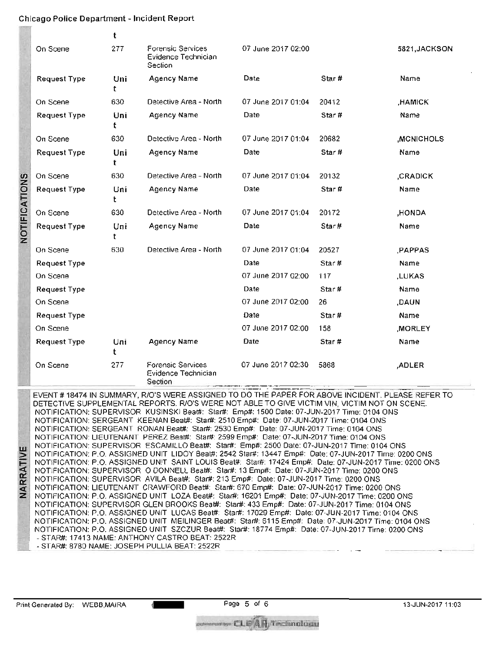## **Chicago Police Department - Incident Report**

|               |                     | t         |                                                            |                    |        |                  |
|---------------|---------------------|-----------|------------------------------------------------------------|--------------------|--------|------------------|
|               | On Scene            | 277       | <b>Forensic Services</b><br>Evidence Technician<br>Section | 07 June 2017 02:00 |        | 5821, JACKSON    |
|               | <b>Request Type</b> | Uni<br>t  | <b>Agency Name</b>                                         | Date               | Star#  | Name             |
|               | On Scene            | 630       | Detective Area - North                                     | 07 June 2017 01:04 | 20412  | <b>HAMICK</b>    |
|               | <b>Request Type</b> | Uni<br>t  | Agency Name                                                | Date               | Star#  | Name             |
|               | On Scene            | 630       | Detective Area - North                                     | 07 June 2017 01:04 | 20682  | <b>MCNICHOLS</b> |
|               | <b>Request Type</b> | Uni<br>t  | Agency Name                                                | Date               | Star # | Name             |
|               | On Scene            | 630       | Detective Area - North                                     | 07 June 2017 01:04 | 20132  | <b>CRADICK</b>   |
| NOTIFICATIONS | <b>Request Type</b> | Uni<br>t. | <b>Agency Name</b>                                         | Date               | Star#  | Name             |
|               | On Scene            | 630       | Detective Area - North                                     | 07 June 2017 01:04 | 20172  | ,HONDA           |
|               | <b>Request Type</b> | Uni<br>t  | Agency Name                                                | Date               | Star#  | Name             |
|               | On Scene            | 630       | Detective Area - North                                     | 07 June 2017 01:04 | 20527  | PAPPAS.          |
|               | Request Type        |           |                                                            | Date               | Star#  | Name             |
|               | On Scene            |           |                                                            | 07 June 2017 02:00 | 117    | ,LUKAS           |
|               | Request Type        |           |                                                            | Date               | Star#  | Name             |
|               | On Scene            |           |                                                            | 07 June 2017 02:00 | 26     | ,DAUN            |
|               | <b>Request Type</b> |           |                                                            | Date               | Star#  | Name             |
|               | On Scene            |           |                                                            | 07 June 2017 02:00 | 158    | <b>MORLEY</b>    |
|               | <b>Request Type</b> | Uni<br>t  | <b>Agency Name</b>                                         | Date               | Star # | Name             |
|               | On Scene            | 277       | <b>Forensic Services</b><br>Evidence Technician<br>Section | 07 June 2017 02:30 | 5868   | ,ADLER           |

EVENT # 18474 IN SUMMARY, RIO'S WERE ASSIGNED TO DO THE PAPER FOR ABOVE INCIDENT. PLEASE REFER TO DETECTIVE SUPPLEMENTAL REPORTS. R/O'S WERE NOT ABLE TO GIVE VICTIM VIN, VICTIM NOT ON SCENE. NOTIFICATION: SUPERVISOR KUSINSKI Beat#: Star#: Emp#: 1500 Date: 07-JUN-2017 Time: 0104 ONS NOTIFICATION: SERGEANT KEENAN Beat#: Star#: 2510 Emp#: Date: 07-JUN-2017 Time: 0104 ONS NOTIFICATION: SERGEANT RONAN Beat#: Star#: 2530 Emp#: Date: 07-JUN-2017 Time: 0104 ONS NOTIFICATION: LIEUTENANT PEREZ Beat#: Star#: 2599 Emp#: Date: 07-JUN-2017 Time: 0104 ONS NOTIFICATION: SUPERVISOR ESCAMILLO Beat#: Star#: Emp#: 2500 Date: 07-JUN-2017 Time: 0104 ONS NOTIFICATION: P.O. ASSIGNED UNIT LIDOY Beat#: 2542 Star#: 13447 Emp#: Date: 07-JUN-2017 Time: 0200 ONS NOTIFICATION: P.O. ASSIGNED UNIT LIDOY Beat#: 2542 Star#: 13447 Emp#: Date: 07-JUN-2017 Time: 0200 ONS<br>NOTIFICATION: P.O. ASSIGNED UNIT SAINT LOUIS Beat#: Star#: 17424 Emp#: Date: 07-JUN-2017 Time: 0200 ONS<br>NOTIFICATION: S NOTIFICATION: SUPERVISOR AVILA Beat#: Star#: 213 Emp#: Date: 07-JUN-2017 Time: 0200 ONS NOTIFICATION: LIEUTENANT CRAWFORD Beat#: Star#: 670 Emp#: Date: 07-JUN-2017 Time: 0200 ONS Z NOTIFICATION: P.O. ASSIGNED UNIT LOZA Beat#: Star#: 16201 Emp#: Date: 07-JUN-2017 Time: 0200 ONS NOTIFICATION: SUPERVISOR GLEN BROOKS Beat#: Star#: 433 Emp#: Date: 07-JUN-2017 Time: 0104 ONS NOTIFICATION: P.O. ASSIGNED UNIT LUCAS Beat#: Star#: 17029 Emp#: Date: 07-JUN-2017 Time: 0104 ONS NOTIFICATION: P.O. ASSIGNED UNIT MEILINGER Beat#: Star#: 6115 Emp#: Date: 07-JUN-2017 Time: 0104 ONS NOTIFICATION: P.O. ASSIGNED UNIT SZCZUR Beat#: Star#: 18774 Emp#: Date: 07-JUN-2017 Time: 0200 ONS - STAR#: 17413 NAME: ANTHONY CASTRO BEAT: 2522R ▪ **-** STAR#: 8780 NAME: JOSEPH PULLIA BEAT: 2522R